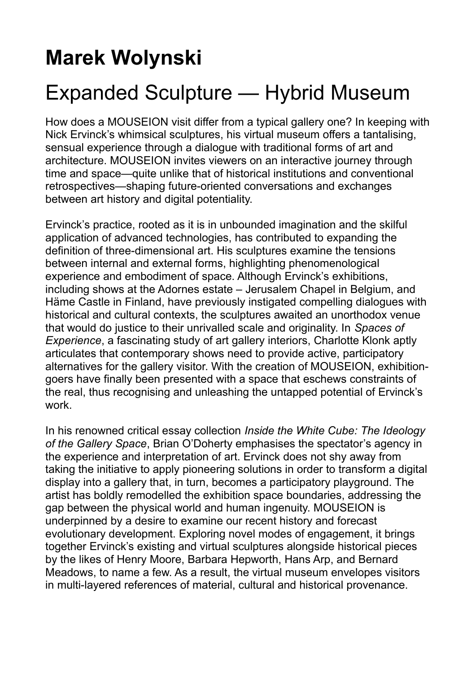## **Marek Wolynski**

## Expanded Sculpture — Hybrid Museum

How does a MOUSEION visit differ from a typical gallery one? In keeping with Nick Ervinck's whimsical sculptures, his virtual museum offers a tantalising, sensual experience through a dialogue with traditional forms of art and architecture. MOUSEION invites viewers on an interactive journey through time and space—quite unlike that of historical institutions and conventional retrospectives—shaping future-oriented conversations and exchanges between art history and digital potentiality.

Ervinck's practice, rooted as it is in unbounded imagination and the skilful application of advanced technologies, has contributed to expanding the definition of three-dimensional art. His sculptures examine the tensions between internal and external forms, highlighting phenomenological experience and embodiment of space. Although Ervinck's exhibitions, including shows at the Adornes estate – Jerusalem Chapel in Belgium, and Häme Castle in Finland, have previously instigated compelling dialogues with historical and cultural contexts, the sculptures awaited an unorthodox venue that would do justice to their unrivalled scale and originality. In *Spaces of Experience*, a fascinating study of art gallery interiors, Charlotte Klonk aptly articulates that contemporary shows need to provide active, participatory alternatives for the gallery visitor. With the creation of MOUSEION, exhibitiongoers have finally been presented with a space that eschews constraints of the real, thus recognising and unleashing the untapped potential of Ervinck's work.

In his renowned critical essay collection *Inside the White Cube: The Ideology of the Gallery Space*, Brian O'Doherty emphasises the spectator's agency in the experience and interpretation of art. Ervinck does not shy away from taking the initiative to apply pioneering solutions in order to transform a digital display into a gallery that, in turn, becomes a participatory playground. The artist has boldly remodelled the exhibition space boundaries, addressing the gap between the physical world and human ingenuity. MOUSEION is underpinned by a desire to examine our recent history and forecast evolutionary development. Exploring novel modes of engagement, it brings together Ervinck's existing and virtual sculptures alongside historical pieces by the likes of Henry Moore, Barbara Hepworth, Hans Arp, and Bernard Meadows, to name a few. As a result, the virtual museum envelopes visitors in multi-layered references of material, cultural and historical provenance.